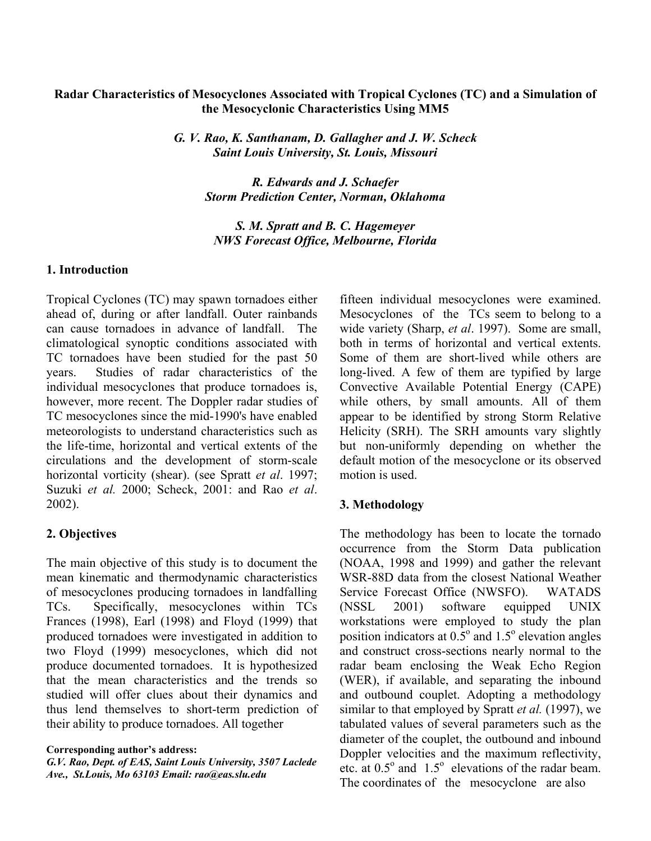### **Radar Characteristics of Mesocyclones Associated with Tropical Cyclones (TC) and a Simulation of the Mesocyclonic Characteristics Using MM5**

*G. V. Rao, K. Santhanam, D. Gallagher and J. W. Scheck Saint Louis University, St. Louis, Missouri* 

> *R. Edwards and J. Schaefer Storm Prediction Center, Norman, Oklahoma*

*S. M. Spratt and B. C. Hagemeyer NWS Forecast Office, Melbourne, Florida* 

#### **1. Introduction**

Tropical Cyclones (TC) may spawn tornadoes either ahead of, during or after landfall. Outer rainbands can cause tornadoes in advance of landfall. The climatological synoptic conditions associated with TC tornadoes have been studied for the past 50 years. Studies of radar characteristics of the individual mesocyclones that produce tornadoes is, however, more recent. The Doppler radar studies of TC mesocyclones since the mid-1990's have enabled meteorologists to understand characteristics such as the life-time, horizontal and vertical extents of the circulations and the development of storm-scale horizontal vorticity (shear). (see Spratt *et al*. 1997; Suzuki *et al.* 2000; Scheck, 2001: and Rao *et al*. 2002).

# **2. Objectives**

The main objective of this study is to document the mean kinematic and thermodynamic characteristics of mesocyclones producing tornadoes in landfalling TCs. Specifically, mesocyclones within TCs Frances (1998), Earl (1998) and Floyd (1999) that produced tornadoes were investigated in addition to two Floyd (1999) mesocyclones, which did not produce documented tornadoes. It is hypothesized that the mean characteristics and the trends so studied will offer clues about their dynamics and thus lend themselves to short-term prediction of their ability to produce tornadoes. All together

*G.V. Rao, Dept. of EAS, Saint Louis University, 3507 Laclede Ave., St.Louis, Mo 63103 Email: rao@eas.slu.edu*

fifteen individual mesocyclones were examined. Mesocyclones of the TCs seem to belong to a wide variety (Sharp, *et al*. 1997). Some are small, both in terms of horizontal and vertical extents. Some of them are short-lived while others are long-lived. A few of them are typified by large Convective Available Potential Energy (CAPE) while others, by small amounts. All of them appear to be identified by strong Storm Relative Helicity (SRH). The SRH amounts vary slightly but non-uniformly depending on whether the default motion of the mesocyclone or its observed motion is used.

# **3. Methodology**

The methodology has been to locate the tornado occurrence from the Storm Data publication (NOAA, 1998 and 1999) and gather the relevant WSR-88D data from the closest National Weather Service Forecast Office (NWSFO). WATADS (NSSL 2001) software equipped UNIX workstations were employed to study the plan position indicators at  $0.5^{\circ}$  and  $1.5^{\circ}$  elevation angles and construct cross-sections nearly normal to the radar beam enclosing the Weak Echo Region (WER), if available, and separating the inbound and outbound couplet. Adopting a methodology similar to that employed by Spratt *et al.* (1997), we tabulated values of several parameters such as the diameter of the couplet, the outbound and inbound Doppler velocities and the maximum reflectivity, etc. at  $0.5^{\circ}$  and  $1.5^{\circ}$  elevations of the radar beam. The coordinates of the mesocyclone are also

**Corresponding author's address:**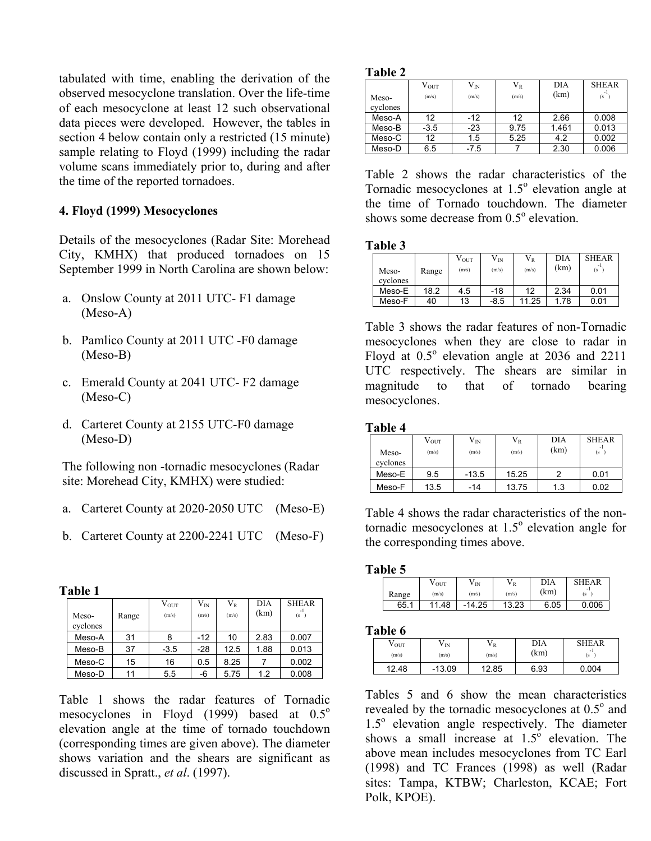tabulated with time, enabling the derivation of the observed mesocyclone translation. Over the life-time of each mesocyclone at least 12 such observational data pieces were developed. However, the tables in section 4 below contain only a restricted (15 minute) sample relating to Floyd (1999) including the radar volume scans immediately prior to, during and after the time of the reported tornadoes.

# **4. Floyd (1999) Mesocyclones**

Details of the mesocyclones (Radar Site: Morehead City, KMHX) that produced tornadoes on 15 September 1999 in North Carolina are shown below:

- a. Onslow County at 2011 UTC- F1 damage (Meso-A)
- b. Pamlico County at 2011 UTC -F0 damage (Meso-B)
- c. Emerald County at 2041 UTC- F2 damage (Meso-C)
- d. Carteret County at 2155 UTC-F0 damage (Meso-D)

The following non -tornadic mesocyclones (Radar site: Morehead City, KMHX) were studied:

- a. Carteret County at 2020-2050 UTC (Meso-E)
- b. Carteret County at 2200-2241 UTC (Meso-F)

#### **Table 1**

| Meso-<br>cyclones | Range | $V_{OUT}$<br>(m/s) | $V_{IN}$<br>(m/s) | $V_{R}$<br>(m/s) | DIA<br>(km) | <b>SHEAR</b><br>$(s - )$ |
|-------------------|-------|--------------------|-------------------|------------------|-------------|--------------------------|
| Meso-A            | 31    | 8                  | -12               | 10               | 2.83        | 0.007                    |
| Meso-B            | 37    | $-3.5$             | -28               | 12.5             | 1.88        | 0.013                    |
| Meso-C            | 15    | 16                 | 0.5               | 8.25             |             | 0.002                    |
| Meso-D            | 11    | 5.5                | -6                | 5.75             | 1.2         | 0.008                    |

Table 1 shows the radar features of Tornadic mesocyclones in Floyd (1999) based at  $0.5^{\circ}$ elevation angle at the time of tornado touchdown (corresponding times are given above). The diameter shows variation and the shears are significant as discussed in Spratt., *et al*. (1997).

| m<br>Η<br>ı<br>л |  |
|------------------|--|
|------------------|--|

|          | $\rm V_{\rm OUT}$ | $\rm V_{IN}$ | $V_{R}$ | DIA   | <b>SHEAR</b> |
|----------|-------------------|--------------|---------|-------|--------------|
| Meso-    | (m/s)             | (m/s)        | (m/s)   | (km)  | -1<br>(s     |
| cyclones |                   |              |         |       |              |
| Meso-A   | 12                | $-12$        | 12      | 2.66  | 0.008        |
| Meso-B   | $-3.5$            | $-23$        | 9.75    | 1.461 | 0.013        |
| Meso-C   | 12                | 1.5          | 5.25    | 4.2   | 0.002        |
| Meso-D   | 6.5               | $-7.5$       |         | 2.30  | 0.006        |

Table 2 shows the radar characteristics of the Tornadic mesocyclones at  $1.5^\circ$  elevation angle at the time of Tornado touchdown. The diameter shows some decrease from  $0.5^{\circ}$  elevation.

#### **Table 3**

| Meso-<br>cyclones | Range | $\rm V_{\rm OUT}$<br>(m/s) | $\rm V_{IN}$<br>(m/s) | $V_{R}$<br>(m/s) | DIA<br>(km) | <b>SHEAR</b><br>(s |
|-------------------|-------|----------------------------|-----------------------|------------------|-------------|--------------------|
| Meso-E            | 18.2  | 4.5                        | $-18$                 | 12               | 2.34        | 0.01               |
| Meso-F            | 40    | 13                         | $-8.5$                | 11.25            | 1.78        | 0.01               |

Table 3 shows the radar features of non-Tornadic mesocyclones when they are close to radar in Floyd at  $0.5^\circ$  elevation angle at 2036 and 2211 UTC respectively. The shears are similar in magnitude to that of tornado bearing mesocyclones.

#### **Table 4**

| Meso-<br>cyclones | $\rm V_{OUT}$<br>(m/s) | $\rm V_{IN}$<br>(m/s) | $\rm V_R$<br>(m/s) | DIA<br>(km) | <b>SHEAR</b><br>(s |
|-------------------|------------------------|-----------------------|--------------------|-------------|--------------------|
| Meso-E            | 9.5                    | $-13.5$               | 15.25              |             | 0.01               |
| Meso-F            | 13.5                   | -14                   | 13.75              | 1.3         | 0.02               |

Table 4 shows the radar characteristics of the nontornadic mesocyclones at  $1.5^\circ$  elevation angle for the corresponding times above.

#### **Table 5**

| Range | V out<br>(m/s) | / IN<br>(m/s)                     | V)<br>VR<br>(m/s) | DIA<br>(km) | <b>SHEAR</b><br>- 1<br>(s |
|-------|----------------|-----------------------------------|-------------------|-------------|---------------------------|
| 65.1  | .48<br>11      | 14.25<br>$\overline{\phantom{0}}$ | 13.23             | .05<br>6.   | .006                      |

#### **Table 6**

| V out<br>(m/s) | V in<br>(m/s) | V R<br>(m/s) | <b>DIA</b><br>(km) | <b>SHEAR</b><br>- 1<br>(s |
|----------------|---------------|--------------|--------------------|---------------------------|
| 12.48          | $-13.09$      | 12.85        | 6.93               | 0.004                     |

Tables 5 and 6 show the mean characteristics revealed by the tornadic mesocyclones at  $0.5^\circ$  and 1.5<sup>o</sup> elevation angle respectively. The diameter shows a small increase at  $1.5^{\circ}$  elevation. The above mean includes mesocyclones from TC Earl (1998) and TC Frances (1998) as well (Radar sites: Tampa, KTBW; Charleston, KCAE; Fort Polk, KPOE).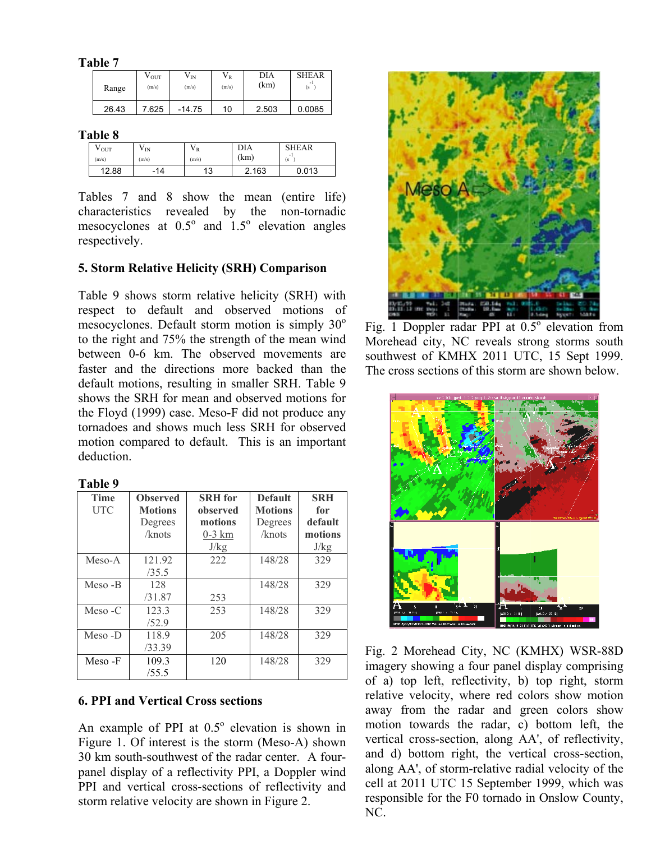**Table 7** 

| Range | ${\rm v_{\rm\,}}$<br>(m/s) | V <sub>IN</sub><br>(m/s) | $V_{R}$<br>(m/s) | DIA<br>(km) | <b>SHEAR</b><br>(s) |
|-------|----------------------------|--------------------------|------------------|-------------|---------------------|
| 26.43 | 7.625                      | $-14.75$                 | 10               | 2.503       | 0.0085              |

**Table 8** 

| V OUT<br>(m/s) | V IN<br>(m/s)                  | ΥR<br>(m/s) | DIA<br>(km) | <b>SHEAR</b><br>- 1<br>(s |
|----------------|--------------------------------|-------------|-------------|---------------------------|
| 12.88          | 14<br>$\overline{\phantom{a}}$ | 12<br>. ت   | 2.163       | 0.013                     |

Tables 7 and 8 show the mean (entire life) characteristics revealed by the non-tornadic mesocyclones at  $0.5^{\circ}$  and  $1.5^{\circ}$  elevation angles respectively.

#### **5. Storm Relative Helicity (SRH) Comparison**

Table 9 shows storm relative helicity (SRH) with respect to default and observed motions of mesocyclones. Default storm motion is simply  $30^{\circ}$ to the right and 75% the strength of the mean wind between 0-6 km. The observed movements are faster and the directions more backed than the default motions, resulting in smaller SRH. Table 9 shows the SRH for mean and observed motions for the Floyd (1999) case. Meso-F did not produce any tornadoes and shows much less SRH for observed motion compared to default. This is an important deduction.

| г<br>н<br>п |  |  |
|-------------|--|--|
|             |  |  |

| <b>Time</b> | <b>Observed</b> | <b>SRH</b> for | <b>Default</b> | <b>SRH</b> |
|-------------|-----------------|----------------|----------------|------------|
| UTC         | <b>Motions</b>  | observed       | <b>Motions</b> | for        |
|             | Degrees         | motions        | Degrees        | default    |
|             | /knots          | $0-3$ km       | /knots         | motions    |
|             |                 | J/kg           |                | J/kg       |
| Meso-A      | 121.92          | 222            | 148/28         | 329        |
|             | /35.5           |                |                |            |
| Meso -B     | 128             |                | 148/28         | 329        |
|             | /31.87          | 253            |                |            |
| $Meso - C$  | 123.3           | 253            | 148/28         | 329        |
|             | /52.9           |                |                |            |
| Meso-D      | 118.9           | 205            | 148/28         | 329        |
|             | /33.39          |                |                |            |
| Meso-F      | 109.3           | 120            | 148/28         | 329        |
|             | /55.5           |                |                |            |

#### **6. PPI and Vertical Cross sections**

An example of PPI at  $0.5^{\circ}$  elevation is shown in Figure 1. Of interest is the storm (Meso-A) shown 30 km south-southwest of the radar center. A fourpanel display of a reflectivity PPI, a Doppler wind PPI and vertical cross-sections of reflectivity and storm relative velocity are shown in Figure 2.



Fig. 1 Doppler radar PPI at  $0.5^{\circ}$  elevation from Morehead city, NC reveals strong storms south southwest of KMHX 2011 UTC, 15 Sept 1999. The cross sections of this storm are shown below.



Fig. 2 Morehead City, NC (KMHX) WSR-88D imagery showing a four panel display comprising of a) top left, reflectivity, b) top right, storm relative velocity, where red colors show motion away from the radar and green colors show motion towards the radar, c) bottom left, the vertical cross-section, along AA', of reflectivity, and d) bottom right, the vertical cross-section, along AA', of storm-relative radial velocity of the cell at 2011 UTC 15 September 1999, which was responsible for the F0 tornado in Onslow County, NC.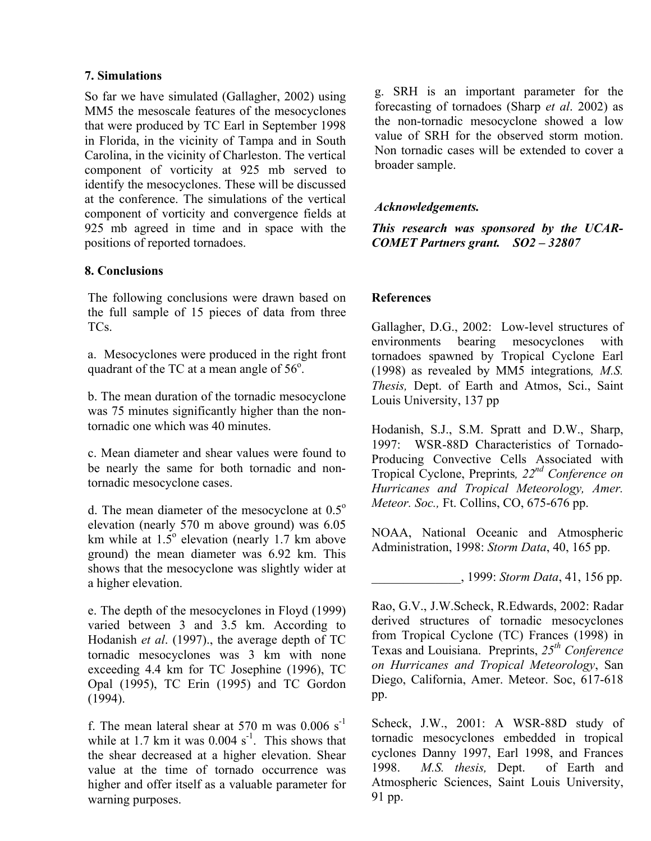### **7. Simulations**

So far we have simulated (Gallagher, 2002) using MM5 the mesoscale features of the mesocyclones that were produced by TC Earl in September 1998 in Florida, in the vicinity of Tampa and in South Carolina, in the vicinity of Charleston. The vertical component of vorticity at 925 mb served to identify the mesocyclones. These will be discussed at the conference. The simulations of the vertical component of vorticity and convergence fields at 925 mb agreed in time and in space with the positions of reported tornadoes.

## **8. Conclusions**

The following conclusions were drawn based on the full sample of 15 pieces of data from three TCs.

a. Mesocyclones were produced in the right front quadrant of the TC at a mean angle of  $56^\circ$ .

b. The mean duration of the tornadic mesocyclone was 75 minutes significantly higher than the nontornadic one which was 40 minutes.

c. Mean diameter and shear values were found to be nearly the same for both tornadic and nontornadic mesocyclone cases.

d. The mean diameter of the mesocyclone at  $0.5^{\circ}$ elevation (nearly 570 m above ground) was 6.05 km while at  $1.5^{\circ}$  elevation (nearly 1.7 km above ground) the mean diameter was 6.92 km. This shows that the mesocyclone was slightly wider at a higher elevation.

e. The depth of the mesocyclones in Floyd (1999) varied between 3 and 3.5 km. According to Hodanish *et al*. (1997)., the average depth of TC tornadic mesocyclones was 3 km with none exceeding 4.4 km for TC Josephine (1996), TC Opal (1995), TC Erin (1995) and TC Gordon (1994).

f. The mean lateral shear at 570 m was  $0.006 \text{ s}^{-1}$ while at 1.7 km it was  $0.004$  s<sup>-1</sup>. This shows that the shear decreased at a higher elevation. Shear value at the time of tornado occurrence was higher and offer itself as a valuable parameter for warning purposes.

g. SRH is an important parameter for the forecasting of tornadoes (Sharp *et al*. 2002) as the non-tornadic mesocyclone showed a low value of SRH for the observed storm motion. Non tornadic cases will be extended to cover a broader sample.

## *Acknowledgements.*

*This research was sponsored by the UCAR-COMET Partners grant. SO2 – 32807* 

## **References**

Gallagher, D.G., 2002: Low-level structures of environments bearing mesocyclones with tornadoes spawned by Tropical Cyclone Earl (1998) as revealed by MM5 integrations*, M.S. Thesis,* Dept. of Earth and Atmos, Sci., Saint Louis University, 137 pp

Hodanish, S.J., S.M. Spratt and D.W., Sharp, 1997: WSR-88D Characteristics of Tornado-Producing Convective Cells Associated with Tropical Cyclone, Preprints*, 22nd Conference on Hurricanes and Tropical Meteorology, Amer. Meteor. Soc.,* Ft. Collins, CO, 675-676 pp.

NOAA, National Oceanic and Atmospheric Administration, 1998: *Storm Data*, 40, 165 pp.

\_\_\_\_\_\_\_\_\_\_\_\_\_\_, 1999: *Storm Data*, 41, 156 pp.

Rao, G.V., J.W.Scheck, R.Edwards, 2002: Radar derived structures of tornadic mesocyclones from Tropical Cyclone (TC) Frances (1998) in Texas and Louisiana. Preprints, *25th Conference on Hurricanes and Tropical Meteorology*, San Diego, California, Amer. Meteor. Soc, 617-618 pp.

Scheck, J.W., 2001: A WSR-88D study of tornadic mesocyclones embedded in tropical cyclones Danny 1997, Earl 1998, and Frances 1998. *M.S. thesis,* Dept. of Earth and Atmospheric Sciences, Saint Louis University, 91 pp.